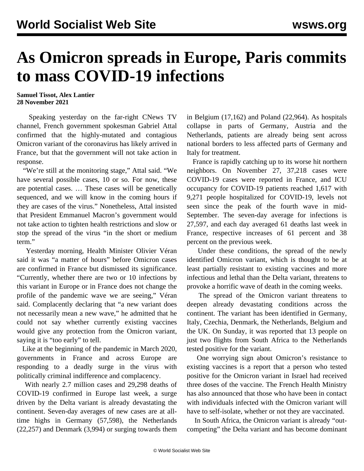## **As Omicron spreads in Europe, Paris commits to mass COVID-19 infections**

**Samuel Tissot, Alex Lantier 28 November 2021**

 Speaking yesterday on the far-right CNews TV channel, French government spokesman Gabriel Attal confirmed that the highly-mutated and contagious Omicron variant of the coronavirus has likely arrived in France, but that the government will not take action in response.

 "We're still at the monitoring stage," Attal said. "We have several possible cases, 10 or so. For now, these are potential cases. … These cases will be genetically sequenced, and we will know in the coming hours if they are cases of the virus." Nonetheless, Attal insisted that President Emmanuel Macron's government would not take action to tighten health restrictions and slow or stop the spread of the virus "in the short or medium term."

 Yesterday morning, Health Minister Olivier Véran said it was "a matter of hours" before Omicron cases are confirmed in France but dismissed its significance. "Currently, whether there are two or 10 infections by this variant in Europe or in France does not change the profile of the pandemic wave we are seeing," Véran said. Complacently declaring that "a new variant does not necessarily mean a new wave," he admitted that he could not say whether currently existing vaccines would give any protection from the Omicron variant, saying it is "too early" to tell.

 Like at the beginning of the pandemic in March 2020, governments in France and across Europe are responding to a deadly surge in the virus with politically criminal indifference and complacency.

 With nearly 2.7 million cases and 29,298 deaths of COVID-19 confirmed in Europe last week, a surge driven by the Delta variant is already devastating the continent. Seven-day averages of new cases are at alltime highs in Germany (57,598), the Netherlands (22,257) and Denmark (3,994) or surging towards them in Belgium (17,162) and Poland (22,964). As hospitals collapse in parts of Germany, Austria and the Netherlands, patients are already being sent across national borders to less affected parts of Germany and Italy for treatment.

 France is rapidly catching up to its worse hit northern neighbors. On November 27, 37,218 cases were COVID-19 cases were reported in France, and ICU occupancy for COVID-19 patients reached 1,617 with 9,271 people hospitalized for COVID-19, levels not seen since the peak of the fourth wave in mid-September. The seven-day average for infections is 27,597, and each day averaged 61 deaths last week in France, respective increases of 61 percent and 38 percent on the previous week.

 Under these conditions, the spread of the newly identified Omicron variant, which is thought to be at least partially resistant to existing vaccines and more infectious and lethal than the Delta variant, threatens to provoke a horrific wave of death in the coming weeks.

 The spread of the Omicron variant threatens to deepen already devastating conditions across the continent. The variant has been identified in Germany, Italy, Czechia, Denmark, the Netherlands, Belgium and the UK. On Sunday, it was reported that 13 people on just two flights from South Africa to the Netherlands tested positive for the variant.

 One worrying sign about Omicron's resistance to existing vaccines is a report that a person who tested positive for the Omicron variant in Israel had received three doses of the vaccine. The French Health Ministry has also announced that those who have been in contact with individuals infected with the Omicron variant will have to self-isolate, whether or not they are vaccinated.

 In South Africa, the Omicron variant is already "outcompeting" the Delta variant and has become dominant